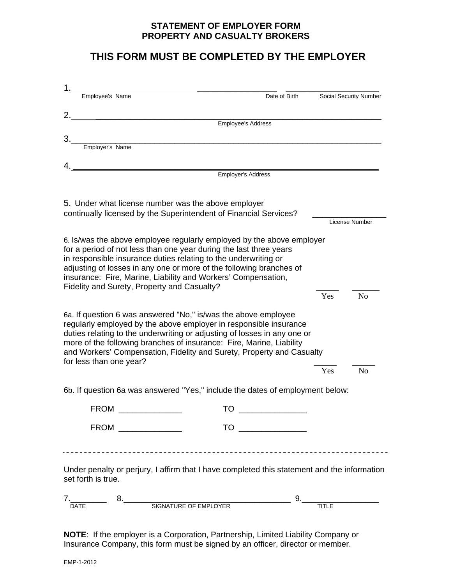### **STATEMENT OF EMPLOYER FORM PROPERTY AND CASUALTY BROKERS**

## **THIS FORM MUST BE COMPLETED BY THE EMPLOYER**

|                                                                   | Employee's Name                                                                                                                                                                                                                | Date of Birth             |     | Social Security Number |
|-------------------------------------------------------------------|--------------------------------------------------------------------------------------------------------------------------------------------------------------------------------------------------------------------------------|---------------------------|-----|------------------------|
|                                                                   |                                                                                                                                                                                                                                |                           |     |                        |
|                                                                   |                                                                                                                                                                                                                                | <b>Employee's Address</b> |     |                        |
|                                                                   |                                                                                                                                                                                                                                |                           |     |                        |
| Employer's Name                                                   |                                                                                                                                                                                                                                |                           |     |                        |
|                                                                   |                                                                                                                                                                                                                                |                           |     |                        |
| 4.                                                                | Employer's Address                                                                                                                                                                                                             |                           |     |                        |
|                                                                   |                                                                                                                                                                                                                                |                           |     |                        |
|                                                                   |                                                                                                                                                                                                                                |                           |     |                        |
|                                                                   | 5. Under what license number was the above employer                                                                                                                                                                            |                           |     |                        |
| continually licensed by the Superintendent of Financial Services? |                                                                                                                                                                                                                                |                           |     | License Number         |
|                                                                   |                                                                                                                                                                                                                                |                           |     |                        |
|                                                                   | 6. Is/was the above employee regularly employed by the above employer<br>for a period of not less than one year during the last three years                                                                                    |                           |     |                        |
|                                                                   | in responsible insurance duties relating to the underwriting or                                                                                                                                                                |                           |     |                        |
|                                                                   | adjusting of losses in any one or more of the following branches of                                                                                                                                                            |                           |     |                        |
|                                                                   | insurance: Fire, Marine, Liability and Workers' Compensation,                                                                                                                                                                  |                           |     |                        |
|                                                                   | Fidelity and Surety, Property and Casualty?                                                                                                                                                                                    |                           | Yes | N <sub>0</sub>         |
|                                                                   |                                                                                                                                                                                                                                |                           |     |                        |
|                                                                   | 6a. If question 6 was answered "No," is/was the above employee                                                                                                                                                                 |                           |     |                        |
|                                                                   | regularly employed by the above employer in responsible insurance                                                                                                                                                              |                           |     |                        |
|                                                                   | duties relating to the underwriting or adjusting of losses in any one or<br>more of the following branches of insurance: Fire, Marine, Liability                                                                               |                           |     |                        |
|                                                                   | and Workers' Compensation, Fidelity and Surety, Property and Casualty                                                                                                                                                          |                           |     |                        |
| for less than one year?                                           |                                                                                                                                                                                                                                |                           |     |                        |
|                                                                   |                                                                                                                                                                                                                                |                           | Yes | N <sub>o</sub>         |
|                                                                   | 6b. If question 6a was answered "Yes," include the dates of employment below:                                                                                                                                                  |                           |     |                        |
|                                                                   |                                                                                                                                                                                                                                |                           |     |                        |
| <b>FROM</b>                                                       | TO                                                                                                                                                                                                                             |                           |     |                        |
|                                                                   | FROM ______________                                                                                                                                                                                                            |                           |     |                        |
|                                                                   |                                                                                                                                                                                                                                |                           |     |                        |
|                                                                   |                                                                                                                                                                                                                                |                           |     |                        |
|                                                                   |                                                                                                                                                                                                                                |                           |     |                        |
|                                                                   |                                                                                                                                                                                                                                |                           |     |                        |
|                                                                   | Under penalty or perjury, I affirm that I have completed this statement and the information                                                                                                                                    |                           |     |                        |
| set forth is true.                                                |                                                                                                                                                                                                                                |                           |     |                        |
|                                                                   | 7. TITLE 8. SIGNATURE OF EMPLOYER 19. TITLE TITLE TITLE TITLE TITLE TITLE TITLE TITLE TITLE TITLE TITLE TITLE TITLE TITLE TITLE TITLE TITLE TITLE TITLE TITLE TITLE TITLE TITLE TITLE TITLE TITLE TITLE TITLE TITLE TITLE TITL |                           |     |                        |

**NOTE**: If the employer is a Corporation, Partnership, Limited Liability Company or Insurance Company, this form must be signed by an officer, director or member.